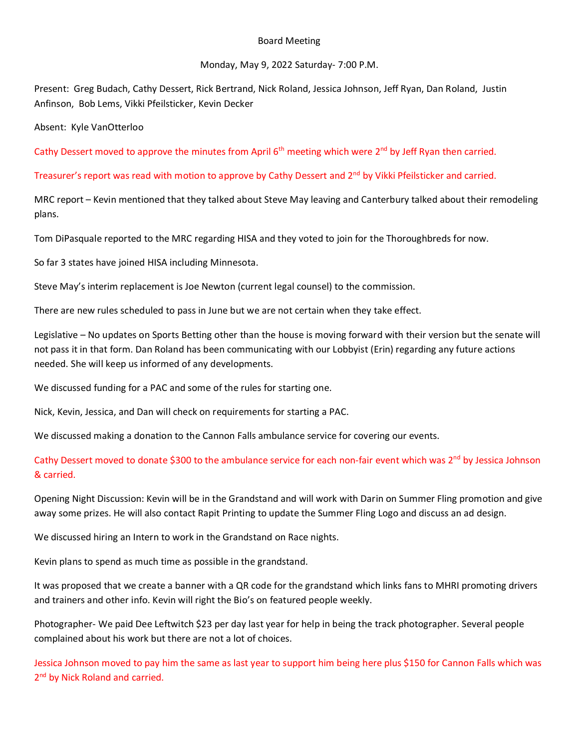## Board Meeting

## Monday, May 9, 2022 Saturday- 7:00 P.M.

Present: Greg Budach, Cathy Dessert, Rick Bertrand, Nick Roland, Jessica Johnson, Jeff Ryan, Dan Roland, Justin Anfinson, Bob Lems, Vikki Pfeilsticker, Kevin Decker

Absent: Kyle VanOtterloo

Cathy Dessert moved to approve the minutes from April 6<sup>th</sup> meeting which were 2<sup>nd</sup> by Jeff Ryan then carried.

## Treasurer's report was read with motion to approve by Cathy Dessert and 2nd by Vikki Pfeilsticker and carried.

MRC report – Kevin mentioned that they talked about Steve May leaving and Canterbury talked about their remodeling plans.

Tom DiPasquale reported to the MRC regarding HISA and they voted to join for the Thoroughbreds for now.

So far 3 states have joined HISA including Minnesota.

Steve May's interim replacement is Joe Newton (current legal counsel) to the commission.

There are new rules scheduled to pass in June but we are not certain when they take effect.

Legislative – No updates on Sports Betting other than the house is moving forward with their version but the senate will not pass it in that form. Dan Roland has been communicating with our Lobbyist (Erin) regarding any future actions needed. She will keep us informed of any developments.

We discussed funding for a PAC and some of the rules for starting one.

Nick, Kevin, Jessica, and Dan will check on requirements for starting a PAC.

We discussed making a donation to the Cannon Falls ambulance service for covering our events.

## Cathy Dessert moved to donate \$300 to the ambulance service for each non-fair event which was 2<sup>nd</sup> by Jessica Johnson & carried.

Opening Night Discussion: Kevin will be in the Grandstand and will work with Darin on Summer Fling promotion and give away some prizes. He will also contact Rapit Printing to update the Summer Fling Logo and discuss an ad design.

We discussed hiring an Intern to work in the Grandstand on Race nights.

Kevin plans to spend as much time as possible in the grandstand.

It was proposed that we create a banner with a QR code for the grandstand which links fans to MHRI promoting drivers and trainers and other info. Kevin will right the Bio's on featured people weekly.

Photographer- We paid Dee Leftwitch \$23 per day last year for help in being the track photographer. Several people complained about his work but there are not a lot of choices.

Jessica Johnson moved to pay him the same as last year to support him being here plus \$150 for Cannon Falls which was 2<sup>nd</sup> by Nick Roland and carried.